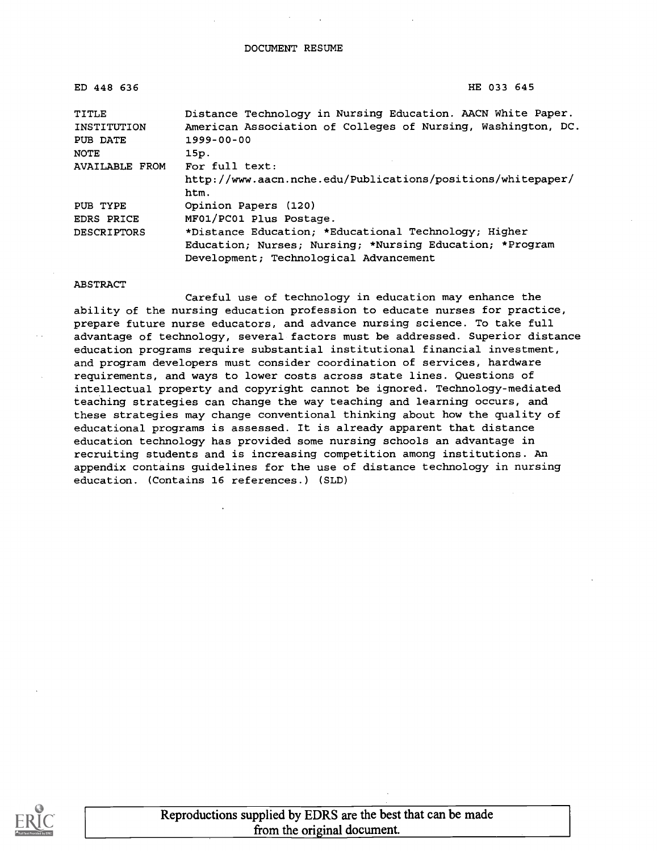| ED 448 636            | HE 033 645                                                   |
|-----------------------|--------------------------------------------------------------|
| TITLE                 | Distance Technology in Nursing Education. AACN White Paper.  |
| INSTITUTION           | American Association of Colleges of Nursing, Washington, DC. |
| PUB DATE              | 1999-00-00                                                   |
| <b>NOTE</b>           | 15p.                                                         |
| <b>AVAILABLE FROM</b> | For full text:                                               |
|                       | http://www.aacn.nche.edu/Publications/positions/whitepaper/  |
|                       | htm.                                                         |
| PUB TYPE              | Opinion Papers (120)                                         |
| EDRS PRICE            | MF01/PC01 Plus Postage.                                      |
| <b>DESCRIPTORS</b>    | *Distance Education; *Educational Technology; Higher         |
|                       | Education; Nurses; Nursing; *Nursing Education; *Program     |
|                       | Development; Technological Advancement                       |

#### ABSTRACT

Careful use of technology in education may enhance the ability of the nursing education profession to educate nurses for practice, prepare future nurse educators, and advance nursing science. To take full advantage of technology, several factors must be addressed. Superior distance education programs require substantial institutional financial investment, and program developers must consider coordination of services, hardware requirements, and ways to lower costs across state lines. Questions of intellectual property and copyright cannot be ignored. Technology-mediated teaching strategies can change the way teaching and learning occurs, and these strategies may change conventional thinking about how the quality of educational programs is assessed. It is already apparent that distance education technology has provided some nursing schools an advantage in recruiting students and is increasing competition among institutions. An appendix contains guidelines for the use of distance technology in nursing education. (Contains 16 references.) (SLD)



Reproductions supplied by EDRS are the best that can be made from the original document.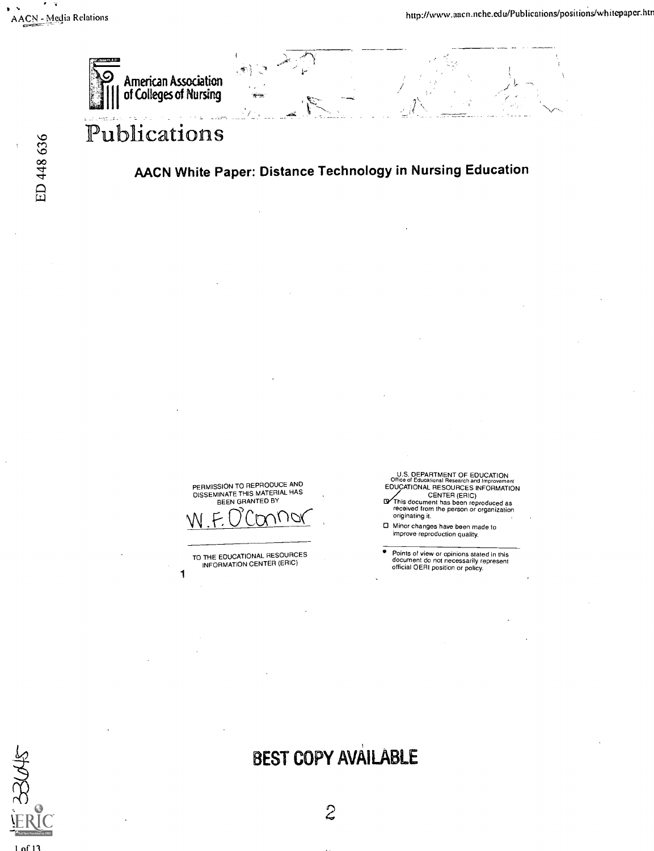- 2

ED 448 636



# Publications

## AACN White Paper: Distance Technology in Nursing Education

PERMISSION TO REPRODUCE AND<br>DISSEMINATE THIS MATERIAL HAS<br>BEEN GRANTED BY

 $W.$  F.  $U$  CONTION

TO THE EDUCATIONAL RESOURCES INFORMATION CENTER (ERIC)

1

U.S. DEPARTMENT OF EDUCATION<br>Office of Educational Research and Improvement<br>EDUCATIONAL RESOURCES INFORMATION

CENTER (ERIC) 12This document has been reproduced as received from the person or organization originating it.

- Minor changes have been made to improve reproduction quality.
- Points of view or opinions stated in this document do not necessarily represent official OERI position or policy.

1 of 13

# BEST COPY AVAILABLE

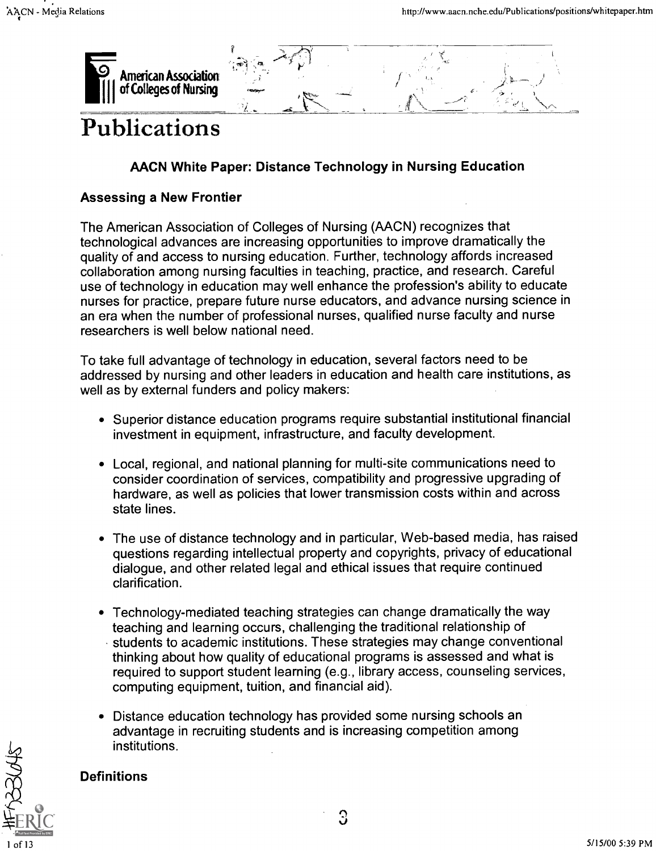

# Publications

# AACN White Paper: Distance Technology in Nursing Education

## Assessing a New Frontier

The American Association of Colleges of Nursing (AACN) recognizes that technological advances are increasing opportunities to improve dramatically the quality of and access to nursing education. Further, technology affords increased collaboration among nursing faculties in teaching, practice, and research. Careful use of technology in education may well enhance the profession's ability to educate nurses for practice, prepare future nurse educators, and advance nursing science in an era when the number of professional nurses, qualified nurse faculty and nurse researchers is well below national need.

To take full advantage of technology in education, several factors need to be addressed by nursing and other leaders in education and health care institutions, as well as by external funders and policy makers:

- Superior distance education programs require substantial institutional financial investment in equipment, infrastructure, and faculty development.
- Local, regional, and national planning for multi-site communications need to consider coordination of services, compatibility and progressive upgrading of hardware, as well as policies that lower transmission costs within and across state lines.
- The use of distance technology and in particular, Web-based media, has raised questions regarding intellectual property and copyrights, privacy of educational dialogue, and other related legal and ethical issues that require continued clarification.
- Technology-mediated teaching strategies can change dramatically the way teaching and learning occurs, challenging the traditional relationship of students to academic institutions. These strategies may change conventional thinking about how quality of educational programs is assessed and what is required to support student learning (e.g., library access, counseling services, computing equipment, tuition, and financial aid).
- Distance education technology has provided some nursing schools an advantage in recruiting students and is increasing competition among institutions.

# **Definitions**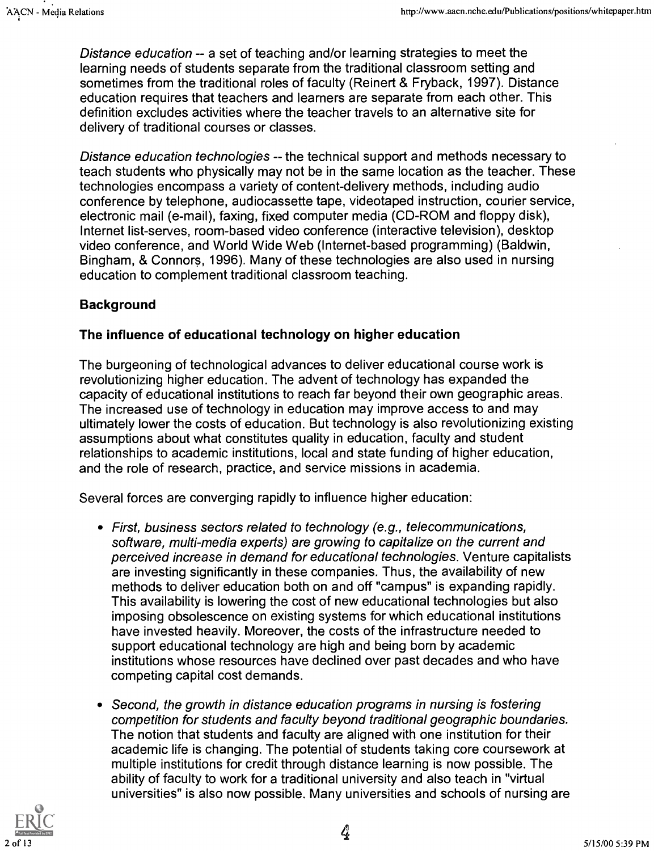Distance education -- a set of teaching and/or learning strategies to meet the learning needs of students separate from the traditional classroom setting and sometimes from the traditional roles of faculty (Reinert & Fryback, 1997). Distance education requires that teachers and learners are separate from each other. This definition excludes activities where the teacher travels to an alternative site for delivery of traditional courses or classes.

Distance education technologies -- the technical support and methods necessary to teach students who physically may not be in the same location as the teacher. These technologies encompass a variety of content-delivery methods, including audio conference by telephone, audiocassette tape, videotaped instruction, courier service, electronic mail (e-mail), faxing, fixed computer media (CD-ROM and floppy disk), Internet list-serves, room-based video conference (interactive television), desktop video conference, and World Wide Web (Internet-based programming) (Baldwin, Bingham, & Connors, 1996). Many of these technologies are also used in nursing education to complement traditional classroom teaching.

### Background

#### The influence of educational technology on higher education

The burgeoning of technological advances to deliver educational course work is revolutionizing higher education. The advent of technology has expanded the capacity of educational institutions to reach far beyond their own geographic areas. The increased use of technology in education may improve access to and may ultimately lower the costs of education. But technology is also revolutionizing existing assumptions about what constitutes quality in education, faculty and student relationships to academic institutions, local and state funding of higher education, and the role of research, practice, and service missions in academia.

Several forces are converging rapidly to influence higher education:

- First, business sectors related to technology (e.g., telecommunications, software, multi-media experts) are growing to capitalize on the current and perceived increase in demand for educational technologies. Venture capitalists are investing significantly in these companies. Thus, the availability of new methods to deliver education both on and off "campus" is expanding rapidly. This availability is lowering the cost of new educational technologies but also imposing obsolescence on existing systems for which educational institutions have invested heavily. Moreover, the costs of the infrastructure needed to support educational technology are high and being born by academic institutions whose resources have declined over past decades and who have competing capital cost demands.
- Second, the growth in distance education programs in nursing is fostering  $\bullet$ competition for students and faculty beyond traditional geographic boundaries. The notion that students and faculty are aligned with one institution for their academic life is changing. The potential of students taking core coursework at multiple institutions for credit through distance learning is now possible. The ability of faculty to work for a traditional university and also teach in "virtual universities" is also now possible. Many universities and schools of nursing are

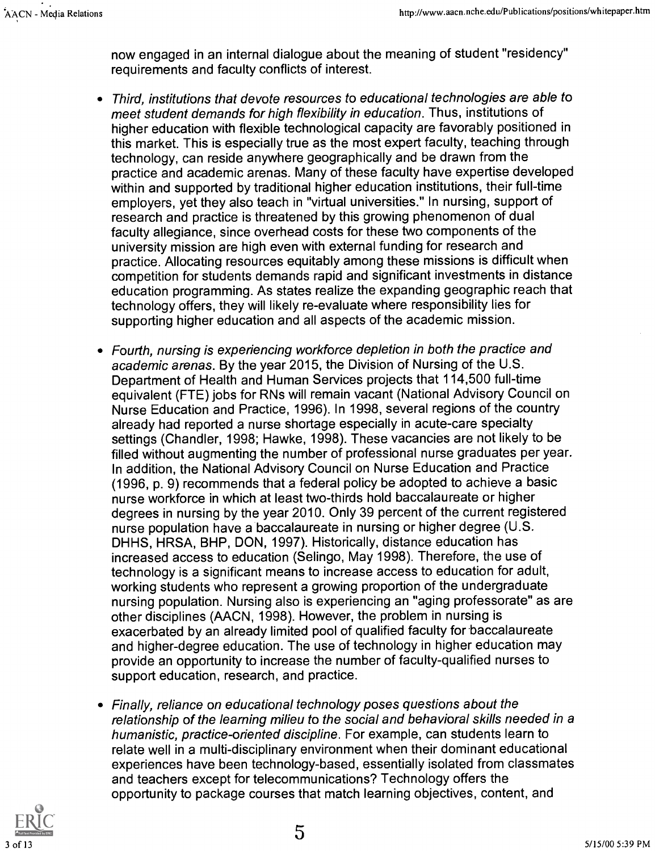now engaged in an internal dialogue about the meaning of student "residency" requirements and faculty conflicts of interest.

- Third, institutions that devote resources to educational technologies are able to meet student demands for high flexibility in education. Thus, institutions of higher education with flexible technological capacity are favorably positioned in this market. This is especially true as the most expert faculty, teaching through technology, can reside anywhere geographically and be drawn from the practice and academic arenas. Many of these faculty have expertise developed within and supported by traditional higher education institutions, their full-time employers, yet they also teach in "virtual universities." In nursing, support of research and practice is threatened by this growing phenomenon of dual faculty allegiance, since overhead costs for these two components of the university mission are high even with external funding for research and practice. Allocating resources equitably among these missions is difficult when competition for students demands rapid and significant investments in distance education programming. As states realize the expanding geographic reach that technology offers, they will likely re-evaluate where responsibility lies for supporting higher education and all aspects of the academic mission.
- Fourth, nursing is experiencing workforce depletion in both the practice and academic arenas. By the year 2015, the Division of Nursing of the U.S. Department of Health and Human Services projects that 114,500 full-time equivalent (FTE) jobs for RNs will remain vacant (National Advisory Council on Nurse Education and Practice, 1996). In 1998, several regions of the country already had reported a nurse shortage especially in acute-care specialty settings (Chandler, 1998; Hawke, 1998). These vacancies are not likely to be filled without augmenting the number of professional nurse graduates per year. In addition, the National Advisory Council on Nurse Education and Practice (1996, p. 9) recommends that a federal policy be adopted to achieve a basic nurse workforce in which at least two-thirds hold baccalaureate or higher degrees in nursing by the year 2010. Only 39 percent of the current registered nurse population have a baccalaureate in nursing or higher degree (U.S. DHHS, HRSA, BHP, DON, 1997). Historically, distance education has increased access to education (Selingo, May 1998). Therefore, the use of technology is a significant means to increase access to education for adult, working students who represent a growing proportion of the undergraduate nursing population. Nursing also is experiencing an "aging professorate" as are other disciplines (AACN, 1998). However, the problem in nursing is exacerbated by an already limited pool of qualified faculty for baccalaureate and higher-degree education. The use of technology in higher education may provide an opportunity to increase the number of faculty-qualified nurses to support education, research, and practice.
- Finally, reliance on educational technology poses questions about the relationship of the learning milieu to the social and behavioral skills needed in a humanistic, practice-oriented discipline. For example, can students learn to relate well in a multi-disciplinary environment when their dominant educational experiences have been technology-based, essentially isolated from classmates and teachers except for telecommunications? Technology offers the opportunity to package courses that match learning objectives, content, and

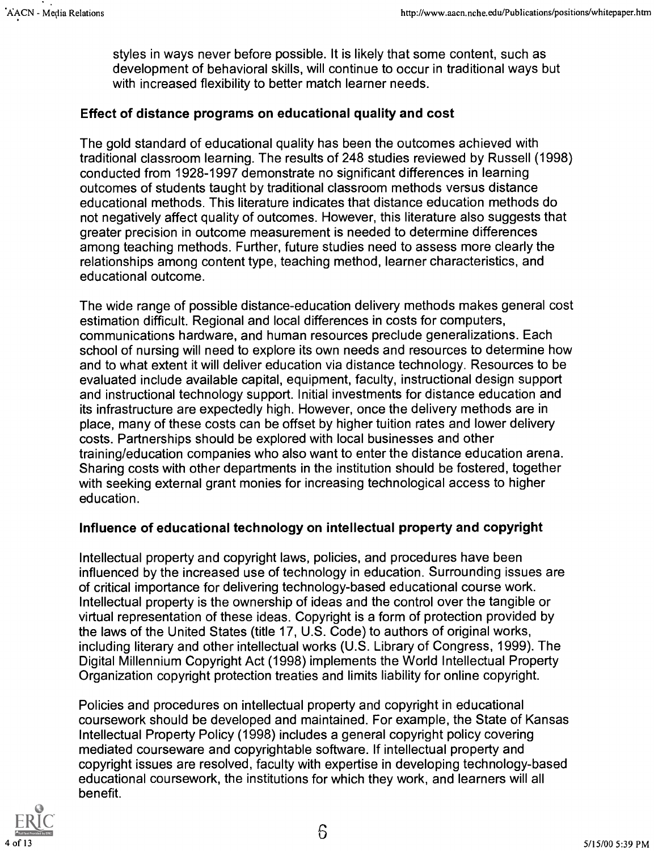styles in ways never before possible. It is likely that some content, such as development of behavioral skills, will continue to occur in traditional ways but with increased flexibility to better match learner needs.

#### Effect of distance programs on educational quality and cost

The gold standard of educational quality has been the outcomes achieved with traditional classroom learning. The results of 248 studies reviewed by Russell (1998) conducted from 1928-1997 demonstrate no significant differences in learning outcomes of students taught by traditional classroom methods versus distance educational methods. This literature indicates that distance education methods do not negatively affect quality of outcomes. However, this literature also suggests that greater precision in outcome measurement is needed to determine differences among teaching methods. Further, future studies need to assess more clearly the relationships among content type, teaching method, learner characteristics, and educational outcome.

The wide range of possible distance-education delivery methods makes general cost estimation difficult. Regional and local differences in costs for computers, communications hardware, and human resources preclude generalizations. Each school of nursing will need to explore its own needs and resources to determine how and to what extent it will deliver education via distance technology. Resources to be evaluated include available capital, equipment, faculty, instructional design support and instructional technology support. Initial investments for distance education and its infrastructure are expectedly high. However, once the delivery methods are in place, many of these costs can be offset by higher tuition rates and lower delivery costs. Partnerships should be explored with local businesses and other training/education companies who also want to enter the distance education arena. Sharing costs with other departments in the institution should be fostered, together with seeking external grant monies for increasing technological access to higher education.

#### Influence of educational technology on intellectual property and copyright

Intellectual property and copyright laws, policies, and procedures have been influenced by the increased use of technology in education. Surrounding issues are of critical importance for delivering technology-based educational course work. Intellectual property is the ownership of ideas and the control over the tangible or virtual representation of these ideas. Copyright is a form of protection provided by the laws of the United States (title 17, U.S. Code) to authors of original works, including literary and other intellectual works (U.S. Library of Congress, 1999). The Digital Millennium Copyright Act (1998) implements the World Intellectual Property Organization copyright protection treaties and limits liability for online copyright.

Policies and procedures on intellectual property and copyright in educational coursework should be developed and maintained. For example, the State of Kansas Intellectual Property Policy (1998) includes a general copyright policy covering mediated courseware and copyrightable software. If intellectual property and copyright issues are resolved, faculty with expertise in developing technology-based educational coursework, the institutions for which they work, and learners will all benefit.

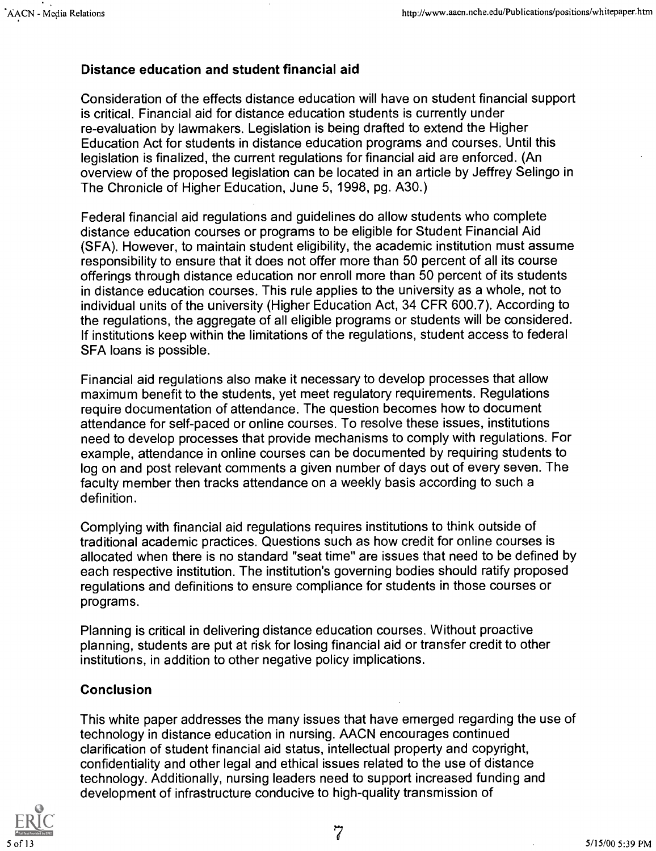#### Distance education and student financial aid

Consideration of the effects distance education will have on student financial support is critical. Financial aid for distance education students is currently under re-evaluation by lawmakers. Legislation is being drafted to extend the Higher Education Act for students in distance education programs and courses. Until this legislation is finalized, the current regulations for financial aid are enforced. (An overview of the proposed legislation can be located in an article by Jeffrey Selingo in The Chronicle of Higher Education, June 5, 1998, pg. A30.)

Federal financial aid regulations and guidelines do allow students who complete distance education courses or programs to be eligible for Student Financial Aid (SFA). However, to maintain student eligibility, the academic institution must assume responsibility to ensure that it does not offer more than 50 percent of all its course offerings through distance education nor enroll more than 50 percent of its students in distance education courses. This rule applies to the university as a whole, not to individual units of the university (Higher Education Act, 34 CFR 600.7). According to the regulations, the aggregate of all eligible programs or students will be considered. If institutions keep within the limitations of the regulations, student access to federal SFA loans is possible.

Financial aid regulations also make it necessary to develop processes that allow maximum benefit to the students, yet meet regulatory requirements. Regulations require documentation of attendance. The question becomes how to document attendance for self-paced or online courses. To resolve these issues, institutions need to develop processes that provide mechanisms to comply with regulations. For example, attendance in online courses can be documented by requiring students to log on and post relevant comments a given number of days out of every seven. The faculty member then tracks attendance on a weekly basis according to such a definition.

Complying with financial aid regulations requires institutions to think outside of traditional academic practices. Questions such as how credit for online courses is allocated when there is no standard "seat time" are issues that need to be defined by each respective institution. The institution's governing bodies should ratify proposed regulations and definitions to ensure compliance for students in those courses or programs.

Planning is critical in delivering distance education courses. Without proactive planning, students are put at risk for losing financial aid or transfer credit to other institutions, in addition to other negative policy implications.

#### Conclusion

This white paper addresses the many issues that have emerged regarding the use of technology in distance education in nursing. AACN encourages continued clarification of student financial aid status, intellectual property and copyright, confidentiality and other legal and ethical issues related to the use of distance technology. Additionally, nursing leaders need to support increased funding and development of infrastructure conducive to high-quality transmission of

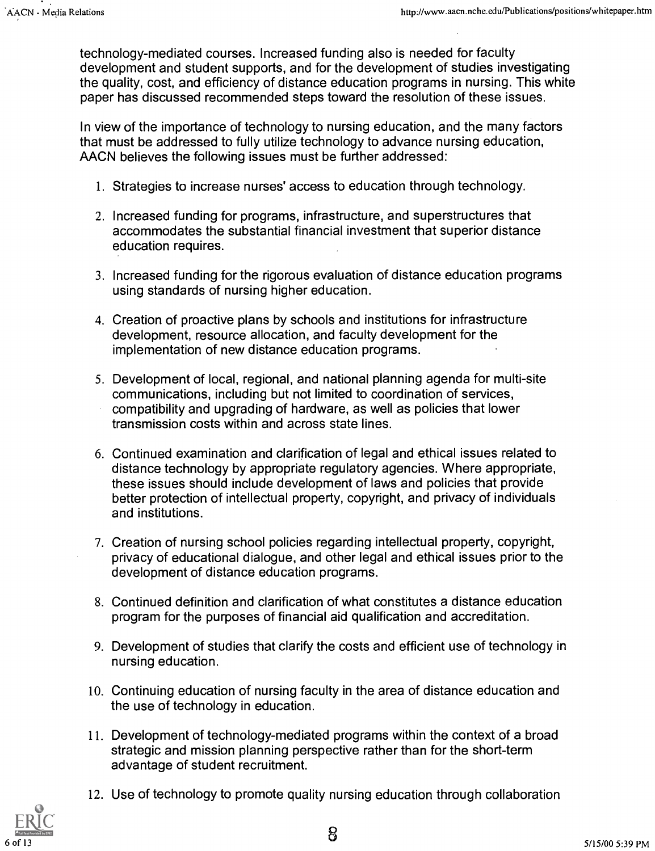technology-mediated courses. Increased funding also is needed for faculty development and student supports, and for the development of studies investigating the quality, cost, and efficiency of distance education programs in nursing. This white paper has discussed recommended steps toward the resolution of these issues.

In view of the importance of technology to nursing education, and the many factors that must be addressed to fully utilize technology to advance nursing education, AACN believes the following issues must be further addressed:

- 1. Strategies to increase nurses' access to education through technology.
- 2. Increased funding for programs, infrastructure, and superstructures that accommodates the substantial financial investment that superior distance education requires.
- 3. Increased funding for the rigorous evaluation of distance education programs using standards of nursing higher education.
- 4. Creation of proactive plans by schools and institutions for infrastructure development, resource allocation, and faculty development for the implementation of new distance education programs.
- 5. Development of local, regional, and national planning agenda for multi-site communications, including but not limited to coordination of services, compatibility and upgrading of hardware, as well as policies that lower transmission costs within and across state lines.
- 6. Continued examination and clarification of legal and ethical issues related to distance technology by appropriate regulatory agencies. Where appropriate, these issues should include development of laws and policies that provide better protection of intellectual property, copyright, and privacy of individuals and institutions.
- 7. Creation of nursing school policies regarding intellectual property, copyright, privacy of educational dialogue, and other legal and ethical issues prior to the development of distance education programs.
- 8. Continued definition and clarification of what constitutes a distance education program for the purposes of financial aid qualification and accreditation.
- 9. Development of studies that clarify the costs and efficient use of technology in nursing education.
- 10. Continuing education of nursing faculty in the area of distance education and the use of technology in education.
- 11. Development of technology-mediated programs within the context of a broad strategic and mission planning perspective rather than for the short-term advantage of student recruitment.
- 12. Use of technology to promote quality nursing education through collaboration

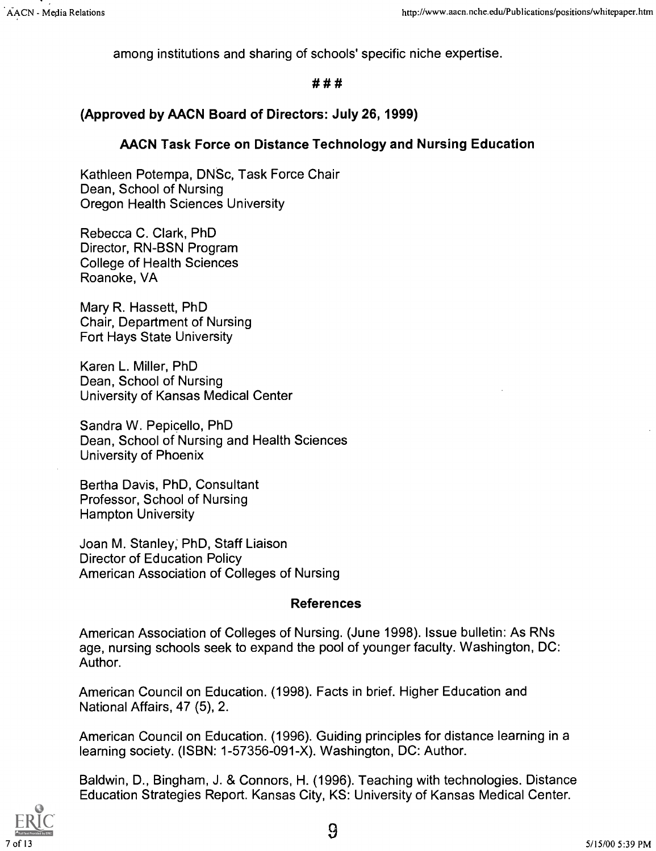among institutions and sharing of schools' specific niche expertise.

#### # # #

#### (Approved by AACN Board of Directors: July 26, 1999)

### AACN Task Force on Distance Technology and Nursing Education

Kathleen Potempa, DNSc, Task Force Chair Dean, School of Nursing Oregon Health Sciences University

Rebecca C. Clark, PhD Director, RN-BSN Program College of Health Sciences Roanoke, VA

Mary R. Hassett, PhD Chair, Department of Nursing Fort Hays State University

Karen L. Miller, PhD Dean, School of Nursing University of Kansas Medical Center

Sandra W. Pepicello, PhD Dean, School of Nursing and Health Sciences University of Phoenix

Bertha Davis, PhD, Consultant Professor, School of Nursing Hampton University

Joan M. Stanley; PhD, Staff Liaison Director of Education Policy American Association of Colleges of Nursing

#### References

American Association of Colleges of Nursing. (June 1998). Issue bulletin: As RNs age, nursing schools seek to expand the pool of younger faculty. Washington, DC: Author.

American Council on Education. (1998). Facts in brief. Higher Education and National Affairs, 47 (5), 2.

American Council on Education. (1996). Guiding principles for distance learning in a learning society. (ISBN: 1-57356-091-X). Washington, DC: Author.

Baldwin, D., Bingham, J. & Connors, H. (1996). Teaching with technologies. Distance Education Strategies Report. Kansas City, KS: University of Kansas Medical Center.



9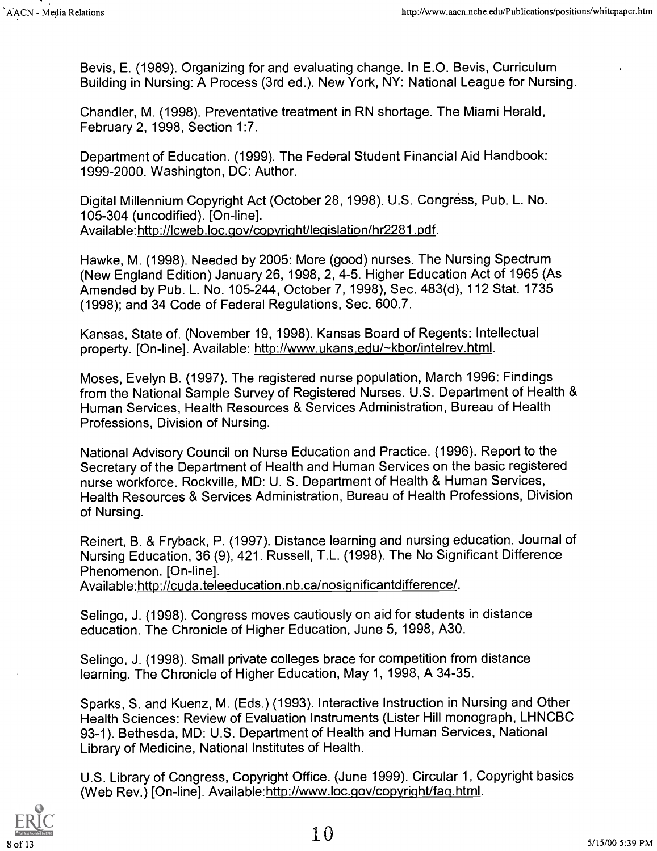Bevis, E. (1989). Organizing for and evaluating change. In E.O. Bevis, Curriculum Building in Nursing: A Process (3rd ed.). New York, NY: National League for Nursing.

Chandler, M. (1998). Preventative treatment in RN shortage. The Miami Herald, February 2, 1998, Section 1:7.

Department of Education. (1999). The Federal Student Financial Aid Handbook: 1999-2000. Washington, DC: Author.

Digital Millennium Copyright Act (October 28, 1998). U.S. Congress, Pub. L. No. 105-304 (uncodified). [On-line]. Available:http://lcweb.loc.gov/copvright/leaislation/hr2281.pdf.

Hawke, M. (1998). Needed by 2005: More (good) nurses. The Nursing Spectrum (New England Edition) January 26, 1998, 2, 4-5. Higher Education Act of 1965 (As Amended by Pub. L. No. 105-244, October 7, 1998), Sec. 483(d), 112 Stat. 1735 (1998); and 34 Code of Federal Regulations, Sec. 600.7.

Kansas, State of. (November 19, 1998). Kansas Board of Regents: Intellectual property. [On-line]. Available: http://www.ukans.edu/~kbor/intelrev.html.

Moses, Evelyn B. (1997). The registered nurse population, March 1996: Findings from the National Sample Survey of Registered Nurses. U.S. Department of Health & Human Services, Health Resources & Services Administration, Bureau of Health Professions, Division of Nursing.

National Advisory Council on Nurse Education and Practice. (1996). Report to the Secretary of the Department of Health and Human Services on the basic registered nurse workforce. Rockville, MD: U. S. Department of Health & Human Services, Health Resources & Services Administration, Bureau of Health Professions, Division of Nursing.

Reinert, B. & Fryback, P. (1997). Distance learning and nursing education. Journal of Nursing Education, 36 (9), 421. Russell, T.L. (1998). The No Significant Difference Phenomenon. [On-line].

Available:http://cuda.teleeducation.nb.ca/nosignificantdifference/.

Selingo, J. (1998). Congress moves cautiously on aid for students in distance education. The Chronicle of Higher Education, June 5, 1998, A30.

Selingo, J. (1998). Small private colleges brace for competition from distance learning. The Chronicle of Higher Education, May 1, 1998, A 34-35.

Sparks, S. and Kuenz, M. (Eds.) (1993). Interactive Instruction in Nursing and Other Health Sciences: Review of Evaluation Instruments (Lister Hill monograph, LHNCBC 93-1). Bethesda, MD: U.S. Department of Health and Human Services, National Library of Medicine, National Institutes of Health.

U.S. Library of Congress, Copyright Office. (June 1999). Circular 1, Copyright basics (Web Rev.) [On-line]. Available:http://www.loc.gov/copyright/faq.html.

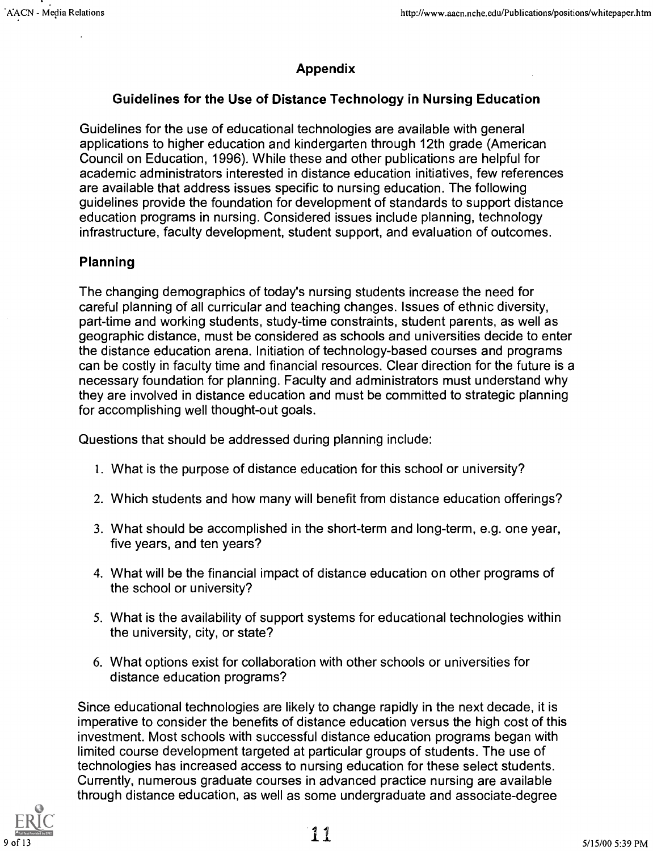#### Appendix

#### Guidelines for the Use of Distance Technology in Nursing Education

Guidelines for the use of educational technologies are available with general applications to higher education and kindergarten through 12th grade (American Council on Education, 1996). While these and other publications are helpful for academic administrators interested in distance education initiatives, few references are available that address issues specific to nursing education. The following guidelines provide the foundation for development of standards to support distance education programs in nursing. Considered issues include planning, technology infrastructure, faculty development, student support, and evaluation of outcomes.

#### Planning

The changing demographics of today's nursing students increase the need for careful planning of all curricular and teaching changes. Issues of ethnic diversity, part-time and working students, study-time constraints, student parents, as well as geographic distance, must be considered as schools and universities decide to enter the distance education arena. Initiation of technology-based courses and programs can be costly in faculty time and financial resources. Clear direction for the future is a necessary foundation for planning. Faculty and administrators must understand why they are involved in distance education and must be committed to strategic planning for accomplishing well thought-out goals.

Questions that should be addressed during planning include:

- 1. What is the purpose of distance education for this school or university?
- 2. Which students and how many will benefit from distance education offerings?
- 3. What should be accomplished in the short-term and long-term, e.g. one year, five years, and ten years?
- 4. What will be the financial impact of distance education on other programs of the school or university?
- 5. What is the availability of support systems for educational technologies within the university, city, or state?
- 6. What options exist for collaboration with other schools or universities for distance education programs?

Since educational technologies are likely to change rapidly in the next decade, it is imperative to consider the benefits of distance education versus the high cost of this investment. Most schools with successful distance education programs began with limited course development targeted at particular groups of students. The use of technologies has increased access to nursing education for these select students. Currently, numerous graduate courses in advanced practice nursing are available through distance education, as well as some undergraduate and associate-degree

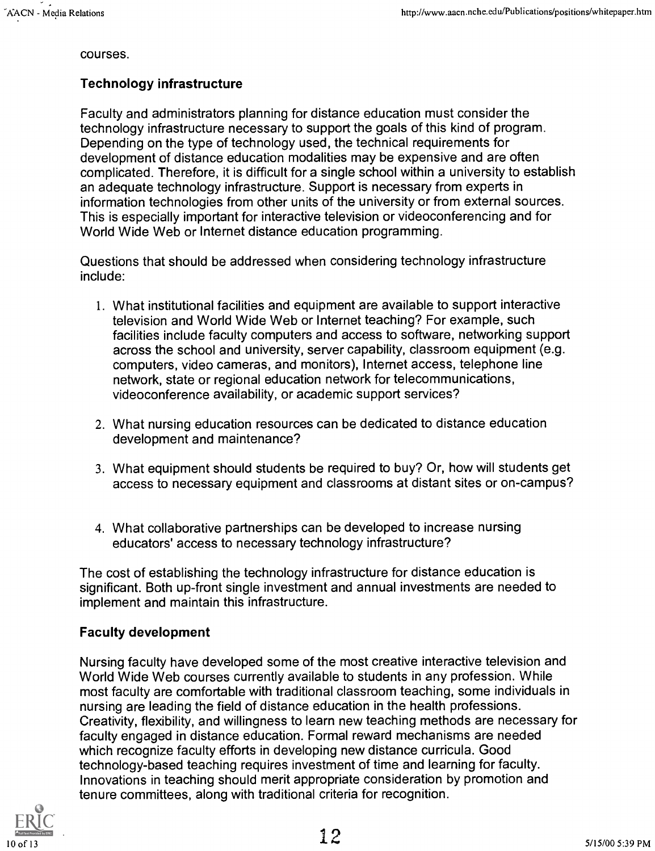courses.

#### Technology infrastructure

Faculty and administrators planning for distance education must consider the technology infrastructure necessary to support the goals of this kind of program. Depending on the type of technology used, the technical requirements for development of distance education modalities may be expensive and are often complicated. Therefore, it is difficult for a single school within a university to establish an adequate technology infrastructure. Support is necessary from experts in information technologies from other units of the university or from external sources. This is especially important for interactive television or videoconferencing and for World Wide Web or Internet distance education programming.

Questions that should be addressed when considering technology infrastructure include:

- 1. What institutional facilities and equipment are available to support interactive television and World Wide Web or Internet teaching? For example, such facilities include faculty computers and access to software, networking support across the school and university, server capability, classroom equipment (e.g. computers, video cameras, and monitors), Internet access, telephone line network, state or regional education network for telecommunications, videoconference availability, or academic support services?
- 2. What nursing education resources can be dedicated to distance education development and maintenance?
- 3. What equipment should students be required to buy? Or, how will students get access to necessary equipment and classrooms at distant sites or on-campus?
- 4. What collaborative partnerships can be developed to increase nursing educators' access to necessary technology infrastructure?

The cost of establishing the technology infrastructure for distance education is significant. Both up-front single investment and annual investments are needed to implement and maintain this infrastructure.

#### Faculty development

Nursing faculty have developed some of the most creative interactive television and World Wide Web courses currently available to students in any profession. While most faculty are comfortable with traditional classroom teaching, some individuals in nursing are leading the field of distance education in the health professions. Creativity, flexibility, and willingness to learn new teaching methods are necessary for faculty engaged in distance education. Formal reward mechanisms are needed which recognize faculty efforts in developing new distance curricula. Good technology-based teaching requires investment of time and learning for faculty. Innovations in teaching should merit appropriate consideration by promotion and tenure committees, along with traditional criteria for recognition.

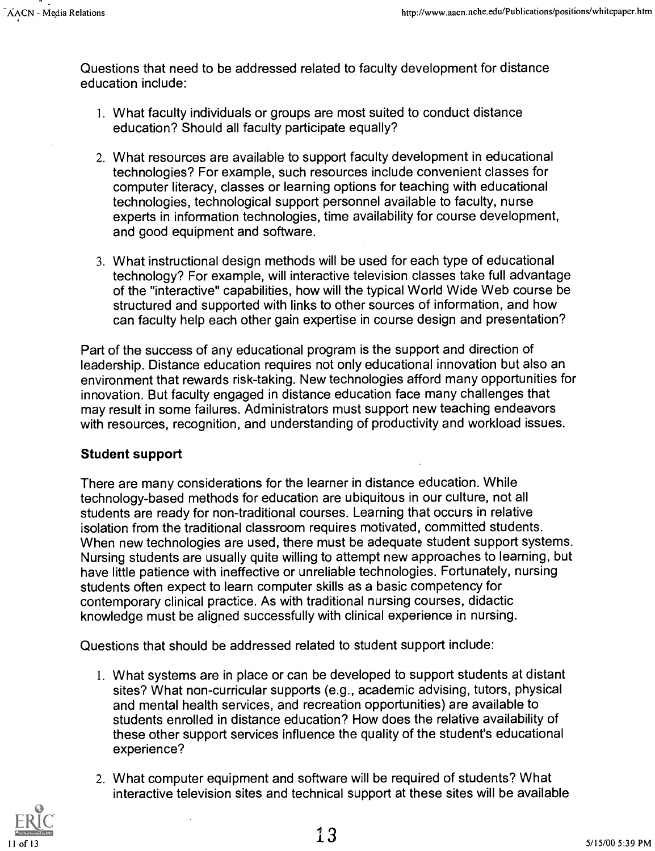Questions that need to be addressed related to faculty development for distance education include:

- 1. What faculty individuals or groups are most suited to conduct distance education? Should all faculty participate equally?
- 2. What resources are available to support faculty development in educational technologies? For example, such resources include convenient classes for computer literacy, classes or learning options for teaching with educational technologies, technological support personnel available to faculty, nurse experts in information technologies, time availability for course development, and good equipment and software.
- 3. What instructional design methods will be used for each type of educational technology? For example, will interactive television classes take full advantage of the "interactive" capabilities, how will the typical World Wide Web course be structured and supported with links to other sources of information, and how can faculty help each other gain expertise in course design and presentation?

Part of the success of any educational program is the support and direction of leadership. Distance education requires not only educational innovation but also an environment that rewards risk-taking. New technologies afford many opportunities for innovation. But faculty engaged in distance education face many challenges that may result in some failures. Administrators must support new teaching endeavors with resources, recognition, and understanding of productivity and workload issues.

#### Student support

There are many considerations for the learner in distance education. While technology-based methods for education are ubiquitous in our culture, not all students are ready for non-traditional courses. Learning that occurs in relative isolation from the traditional classroom requires motivated, committed students. When new technologies are used, there must be adequate student support systems. Nursing students are usually quite willing to attempt new approaches to learning, but have little patience with ineffective or unreliable technologies. Fortunately, nursing students often expect to learn computer skills as a basic competency for contemporary clinical practice. As with traditional nursing courses, didactic knowledge must be aligned successfully with clinical experience in nursing.

Questions that should be addressed related to student support include:

- 1. What systems are in place or can be developed to support students at distant sites? What non-curricular supports (e.g., academic advising, tutors, physical and mental health services, and recreation opportunities) are available to students enrolled in distance education? How does the relative availability of these other support services influence the quality of the student's educational experience?
- 2. What computer equipment and software will be required of students? What interactive television sites and technical support at these sites will be available

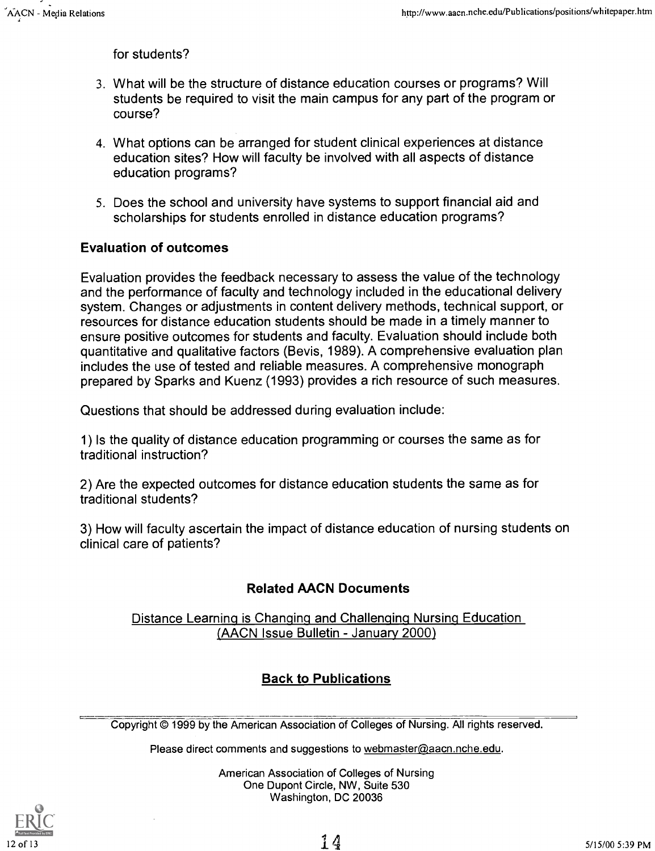for students?

- 3. What will be the structure of distance education courses or programs? Will students be required to visit the main campus for any part of the program or course?
- 4. What options can be arranged for student clinical experiences at distance education sites? How will faculty be involved with all aspects of distance education programs?
- 5. Does the school and university have systems to support financial aid and scholarships for students enrolled in distance education programs?

#### Evaluation of outcomes

Evaluation provides the feedback necessary to assess the value of the technology and the performance of faculty and technology included in the educational delivery system. Changes or adjustments in content delivery methods, technical support, or resources for distance education students should be made in a timely manner to ensure positive outcomes for students and faculty. Evaluation should include both quantitative and qualitative factors (Bevis, 1989). A comprehensive evaluation plan includes the use of tested and reliable measures. A comprehensive monograph prepared by Sparks and Kuenz (1993) provides a rich resource of such measures.

Questions that should be addressed during evaluation include:

1) Is the quality of distance education programming or courses the same as for traditional instruction?

2) Are the expected outcomes for distance education students the same as for traditional students?

3) How will faculty ascertain the impact of distance education of nursing students on clinical care of patients?

### Related AACN Documents

Distance Learning is Changing and Challenging Nursing Education (AACN Issue Bulletin - January 2000)

### Back to Publications

Copyright © 1999 by the American Association of Colleges of Nursing. All rights reserved.

Please direct comments and suggestions to webmaster@aacn.nche.edu.

American Association of Colleges of Nursing One Dupont Circle, NW, Suite 530 Washington, DC 20036

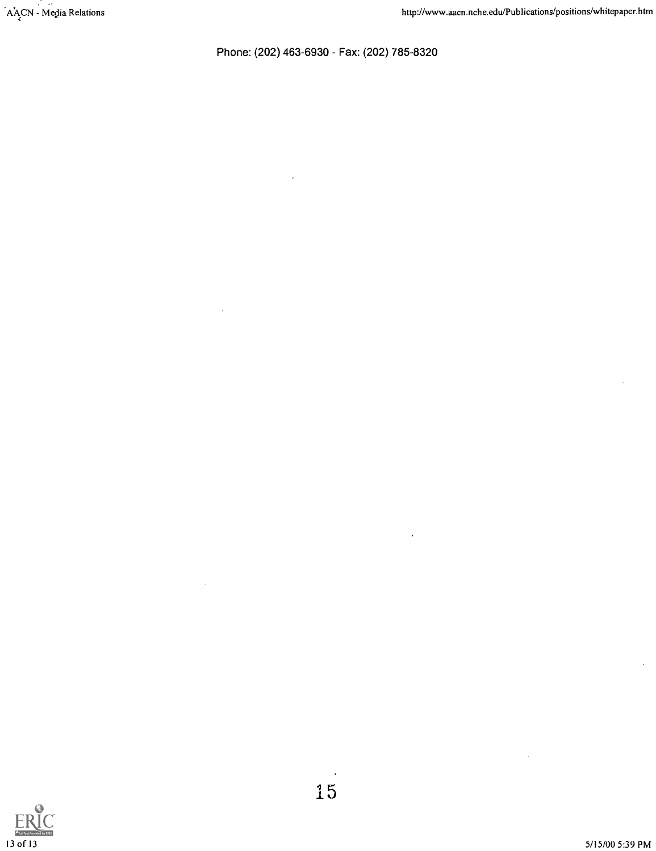Phone: (202) 463-6930 - Fax: (202) 785-8320

 $\overline{\phantom{a}}$ 

 $\overline{\phantom{a}}$ 



 $\lambda$ 

¥,